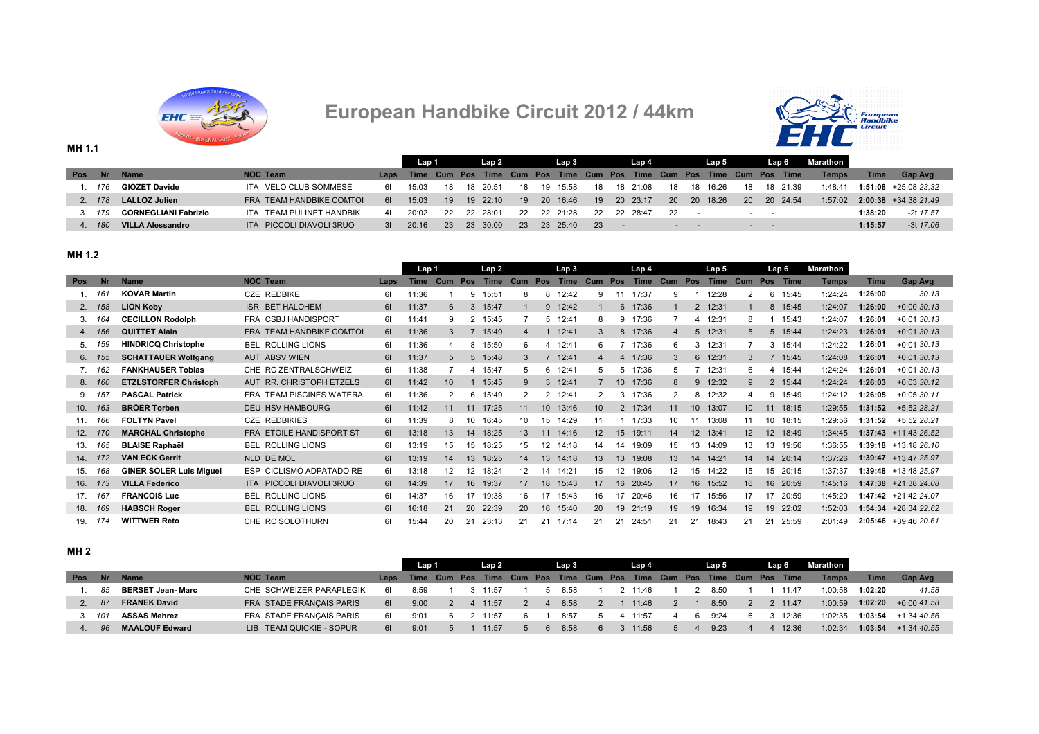

# **European Handbike Circuit 2012 / 44km**



|            |        |                             |                          |    | Lap 1                                                                      |    | Lap 2    |      |    | Lap 3    |      | Lap 4       |           |             | Lap 5    |           | Lap 6                        |          | Marathon     |         |                        |
|------------|--------|-----------------------------|--------------------------|----|----------------------------------------------------------------------------|----|----------|------|----|----------|------|-------------|-----------|-------------|----------|-----------|------------------------------|----------|--------------|---------|------------------------|
| <b>Pos</b> | Nr.    | <b>Name</b>                 | NOC Team                 |    | Laps Time Cum Pos Time Cum Pos Time Cum Pos Time Cum Pos Time Cum Pos Time |    |          |      |    |          |      |             |           |             |          |           |                              |          | <b>Temps</b> | Time    | <b>Gap Avg</b>         |
|            | 1. 176 | <b>GIOZET Davide</b>        | ITA VELO CLUB SOMMESE    | 61 | 15:03                                                                      | 18 | 18 20:51 | -18  | 19 | 15:58    |      | 18 18 21:08 | 18        |             | 18 16:26 | 18        |                              | 18 21:39 | 1:48:41      |         | $1:51:08$ +25:08 23.32 |
|            | 2. 178 | <b>LALLOZ Julien</b>        | FRA TEAM HANDBIKE COMTOI | 61 | 15:03                                                                      | 19 | 19 22:10 | - 19 |    | 20 16:46 |      | 19 20 23:17 | <b>20</b> |             | 20 18:26 | <b>20</b> |                              | 20 24:54 | 1:57:02      |         | $2:00:38$ +34:38 21.49 |
|            | 3. 179 | <b>CORNEGLIANI Fabrizio</b> | ITA TEAM PULINET HANDBIK | 41 | 20.02                                                                      | 22 | 22 28:01 | -22  |    | 22 21:28 |      | 22 22 28:47 | - 22      |             |          |           |                              |          |              | 1:38:20 | -2t 17.57              |
|            | 4 180  | <b>VILLA Alessandro</b>     | ITA PICCOLI DIAVOLI 3RUO | 31 | 20:16                                                                      | 23 | 23 30:00 | -23- |    | 23 25:40 | -23- |             |           | the company |          |           | $\sim$ 100 $\sim$ 100 $\sim$ |          |              | 1:15:57 | $-3t$ 17.06            |

## **MH 1.2**

**MH 1.1**

|                 |           |                                |                                 |      | Lap 1       |     |     | Lap <sub>2</sub> |              |            | Lap 3       |                 |     | Lap 4       |     |                 | Lap 5       |              |     | Lap 6 | Marathon     |         |                        |
|-----------------|-----------|--------------------------------|---------------------------------|------|-------------|-----|-----|------------------|--------------|------------|-------------|-----------------|-----|-------------|-----|-----------------|-------------|--------------|-----|-------|--------------|---------|------------------------|
| <b>Pos</b>      | <b>Nr</b> | <b>Name</b>                    | <b>NOC Team</b>                 | Laps | <b>Time</b> | Cum | Pos | <b>Time</b>      | Cum          | <b>Pos</b> | <b>Time</b> | Cum             | Pos | <b>Time</b> | Cum | Pos             | <b>Time</b> | Cum          | Pos | Time  | <b>Temps</b> | Time    | <b>Gap Avg</b>         |
|                 | 161       | <b>KOVAR Martin</b>            | <b>CZE REDBIKE</b>              | 61   | 11:36       |     | 9   | 15:51            | 8            | 8          | 12:42       | 9               | 11  | 17:37       |     |                 | 12:28       |              | 6   | 15:45 | 1:24:24      | 1:26:00 | 30.13                  |
| 2.              | 158       | <b>LION Koby</b>               | ISR BET HALOHEM                 | 61   | 11:37       | 6   | -3  | 15:47            |              | 9          | 12:42       |                 |     | 6 17:36     |     | 2               | 12:31       |              | 8   | 15:45 | 1:24:07      | 1:26:00 | $+0.0030.13$           |
| 3.              | 164       | <b>CECILLON Rodolph</b>        | FRA CSBJ HANDISPORT             | 61   | 11:41       | 9   | 2   | 15:45            |              | 5          | 12:41       | 8               |     | 9 17:36     |     | 4               | 12:31       | -8           |     | 15:43 | 1:24:07      | 1:26:01 | $+0.0130.13$           |
| 4.              | 156       | <b>QUITTET Alain</b>           | FRA TEAM HANDBIKE COMTOI        | 61   | 11:36       |     |     | 15:49            |              |            | 12:41       |                 | 8   | 17:36       |     | 5               | 12:31       |              | 5   | 15:44 | 1:24:23      | 1:26:01 | $+0.0130.13$           |
| 5.              |           | <b>HINDRICQ Christophe</b>     | <b>BEL ROLLING LIONS</b>        | 61   | 11:36       | 4   | 8   | 15:50            | 6            |            | 12:41       | 6               |     | 17:36       | 6   | 3               | 12:31       |              |     | 15:44 | 1:24:22      | 1:26:01 | $+0.0130.13$           |
| 6.              | 155       | <b>SCHATTAUER Wolfgang</b>     | <b>AUT ABSV WIEN</b>            | 61   | 11:37       | 5   | 5   | 15:48            | 3            |            | 12:41       | 4               |     | 4 17:36     | 3   | 6               | 12:31       | $\mathbf{B}$ |     | 15:45 | 1:24:08      | 1:26:01 | $+0.0130.13$           |
|                 | 162       | <b>FANKHAUSER Tobias</b>       | CHE RC ZENTRALSCHWEIZ           | 61   | 11:38       |     | 4   | 15:47            | 5            | 6          | 12:41       | 5               |     | 5 17:36     | 5   |                 | 12:31       | -6           |     | 15:44 | 1:24:24      | 1:26:01 | $+0.0130.13$           |
| 8.              | 160       | <b>ETZLSTORFER Christoph</b>   | AUT RR. CHRISTOPH ETZELS        | 61   | 11:42       | 10  |     | 15:45            | <sub>9</sub> | 3          | 12:41       |                 |     | 10 17:36    | 8   | 9               | 12:32       | g            | 2   | 15:44 | 1:24:24      | 1:26:03 | $+0.03330.12$          |
| 9.              |           | <b>PASCAL Patrick</b>          | <b>FRA TEAM PISCINES WATERA</b> | 61   | 11:36       |     | 6   | 15:49            |              |            | 12:41       | 2               |     | 17:36       |     | 8               | 12:32       |              | 9   | 15:49 | 1:24:12      | 1:26:05 | $+0.0530.11$           |
| 10.             | 163       | <b>BRÖER Torben</b>            | <b>DEU HSV HAMBOURG</b>         | 61   | 11:42       | 11  | 11  | 17:25            |              | 10         | 13:46       | 10 <sup>°</sup> |     | 2 17:34     | 11  | 10 <sup>°</sup> | 13:07       | 10           | 11  | 18:15 | 1:29:55      | 1:31:52 | +5:52 28.21            |
| 11.             | 166       | <b>FOLTYN Pavel</b>            | <b>CZE REDBIKIES</b>            | 61   | 11:39       |     |     | 16:45            | 10           | 15         | 14:29       | 11              |     | 17:33       | 10  | 11              | 13:08       | 11           | 10  | 18:15 | 1:29:56      | 1:31:52 | +5:52 28.21            |
| 12.             | 170       | <b>MARCHAL Christophe</b>      | FRA ETOILE HANDISPORT ST        | 61   | 13:18       | 13  | 14  | 18:25            | 13           | 11         | 14:16       | 12 <sup>2</sup> | 15  | 19:11       | 14  | 12              | 13:41       | 12           | 12  | 18:49 | 1:34:45      |         | $1:37:43$ +11:43 26.52 |
| 13.             | 165       | <b>BLAISE Raphaël</b>          | <b>BEL ROLLING LIONS</b>        | 61   | 13:19       | 15  | 15  | 18:25            | 15           | 12         | 14:18       | 14              | 14  | 19:09       | 15  | 13              | 14:09       | 13           | 13  | 19:56 | 1:36:55      |         | $1:39:18$ +13:18 26.10 |
| 14.             |           | <b>VAN ECK Gerrit</b>          | NLD DE MOL                      | 61   | 13:19       | 14  | 13  | 18:25            | 14           | 13.        | 14:18       | 13              | 13  | 19:08       | 13  | 14              | 14:21       | 14           | 14  | 20:14 | 1:37:26      |         | $1:39:47$ +13:47 25.97 |
| 15.             | 168       | <b>GINER SOLER Luis Miguel</b> | ESP CICLISMO ADPATADO RE        | 61   | 13:18       | 12  | 12  | 18:24            | 12           | 14         | 14:21       | 15              | 12  | 19:06       | 12  | 15              | 14:22       | 15           | 15  | 20:15 | 1:37:37      |         | 1:39:48 +13:48 25.97   |
| 16.             | 173       | <b>VILLA Federico</b>          | ITA PICCOLI DIAVOLI 3RUO        | 61   | 14:39       | 17  | 16  | 19:37            | 17           | 18         | 15:43       | 17              | 16  | 20:45       | 17  | 16              | 15:52       | 16           | 16  | 20:59 | 1:45:16      |         | $1:47:38$ +21:38 24.08 |
| 17 <sub>1</sub> | 167       | <b>FRANCOIS Luc</b>            | <b>BEL ROLLING LIONS</b>        | 61   | 14:37       | 16  | 17  | 19:38            | 16           | 17         | 15:43       | 16              | 17  | 20:46       | 16  | 17              | 15:56       | 17           | 17  | 20:59 | 1:45:20      |         | 1:47:42 +21:42 24.07   |
| 18.             | 169       | <b>HABSCH Roger</b>            | <b>BEL ROLLING LIONS</b>        | 61   | 16:18       | 21  | 20  | 22:39            | 20           | 16         | 15:40       | <b>20</b>       | 19  | 21:19       | 19  | 19              | 16:34       | 19           | 19  | 22:02 | 1:52:03      |         | 1:54:34 +28:34 22.62   |
| 19.             | 174       | <b>WITTWER Reto</b>            | CHE RC SOLOTHURN                | 61   | 15:44       | 20  | 21  | 23:13            | 21           | 21         | 17:14       | 21              | 21  | 24:51       | 21  | 21              | 18:43       | 21           | 21  | 25:59 | 2:01:49      |         | 2:05:46 +39:46 20.61   |

## **MH 2**

|            |           |                          |                          |      | Lap 1                                                                 |  | Lap <sub>2</sub> |  | Lap 3 |    | Lap 4   |                |   | Lap 5 |  | Lap 6   | Marathon I   |             |                |
|------------|-----------|--------------------------|--------------------------|------|-----------------------------------------------------------------------|--|------------------|--|-------|----|---------|----------------|---|-------|--|---------|--------------|-------------|----------------|
| <b>Pos</b> | <b>Nr</b> | <b>Name</b>              | <b>NOC Team</b>          | Laps | Time Cum Pos Time Cum Pos Time Cum Pos Time Cum Pos Time Cum Pos Time |  |                  |  |       |    |         |                |   |       |  |         | <b>Temps</b> | <b>Time</b> | <b>Gap Avg</b> |
|            | 85        | <b>BERSET Jean- Marc</b> | CHE SCHWEIZER PARAPLEGIK | 61   | 8.59                                                                  |  | 11:57            |  | 8:58  |    | 2 11:46 |                |   | 8:50  |  | 11.47   | 1.00.58      | 1:02:20     | 41.58          |
|            | 87        | <b>FRANEK David</b>      | FRA STADE FRANÇAIS PARIS | 61   | 9:00                                                                  |  | $-11:57$         |  | 8:58  |    | 11:46   | $\overline{2}$ |   | 8:50  |  | 2 11:47 | 1:00:59      | 1:02:20     | $+0.0041.58$   |
|            | 101       | <b>ASSAS Mehrez</b>      | FRA STADE FRANÇAIS PARIS | 61   | 9:01                                                                  |  | 11:57            |  | 8:57  |    | 11:57   |                | h | 9.24  |  | 12:36   | 1:02:35      | 1:03:54     | +1:34 40.56    |
|            | 96.       | <b>MAALOUF Edward</b>    | LIB TEAM QUICKIE - SOPUR | 61   | 9:01                                                                  |  | 11:57            |  | 8:58  | 6. | 3 11:56 | 5              |   | 9:23  |  | 12:36   | 1:02:34      | 1:03:54     | $+1.34$ 40.55  |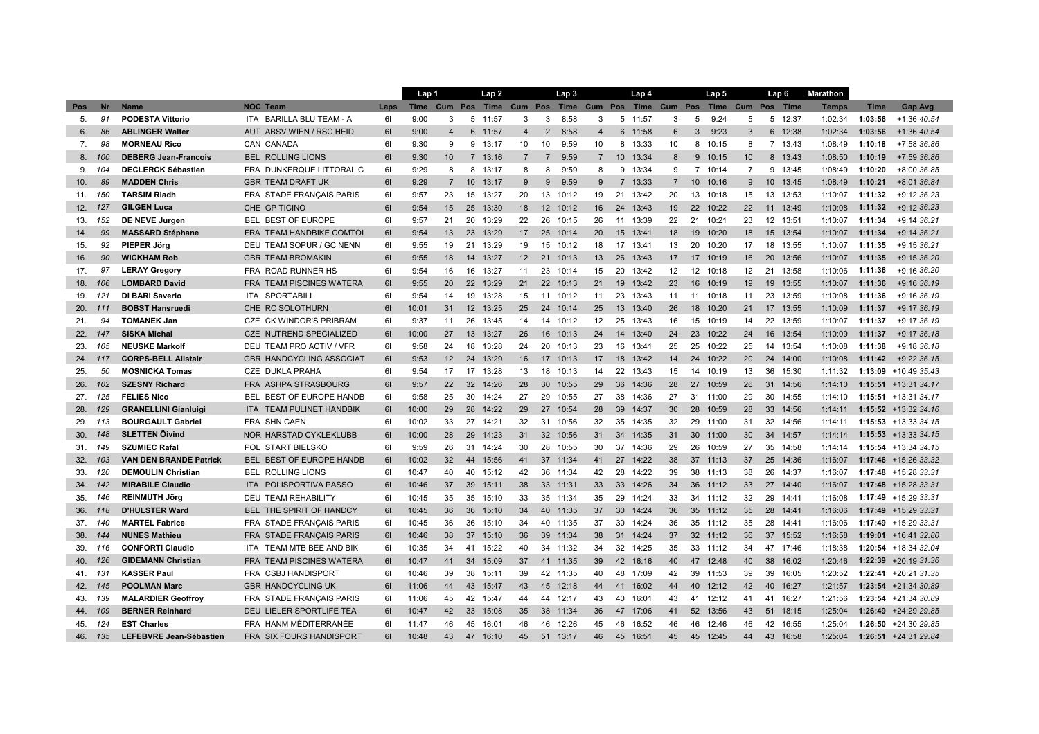|                 |           |                               |                                           |      | Lap 1 |                |                 | Lap 2    |                |                 | Lap <sub>3</sub> |                |                | Lap 4                     |                |                 | Lap <sub>5</sub> |     |    | Lap 6    | <b>Marathon</b> |             |                        |
|-----------------|-----------|-------------------------------|-------------------------------------------|------|-------|----------------|-----------------|----------|----------------|-----------------|------------------|----------------|----------------|---------------------------|----------------|-----------------|------------------|-----|----|----------|-----------------|-------------|------------------------|
| Pos             | <b>Nr</b> | <b>Name</b>                   | <b>NOC Team</b>                           | Laps | Time  | Cum            | Pos             | Time     | Cum Pos        |                 |                  |                |                | Time Cum Pos Time Cum Pos |                |                 | Time             | Cum |    | Pos Time | <b>Temps</b>    | <b>Time</b> | <b>Gap Avg</b>         |
| 5.              | 91        | <b>PODESTA Vittorio</b>       | ITA BARILLA BLU TEAM - A                  | 61   | 9:00  | 3              |                 | 5 11:57  | 3              | 3               | 8:58             | 3              |                | 5 11:57                   | 3              | 5               | 9:24             | 5   |    | 5 12:37  | 1:02:34         | 1:03:56     | +1:36 40.54            |
| 6.              | 86        | <b>ABLINGER Walter</b>        | <b>AUT</b><br>ABSV WIEN / RSC HEID        | 61   | 9:00  | $\overline{4}$ | 6               | 11:57    | $\overline{4}$ | $\overline{2}$  | 8:58             | $\overline{4}$ |                | 6 11:58                   | 6              | 3               | 9:23             | 3   |    | 6 12:38  | 1:02:34         | 1:03:56     | +1:36 40.54            |
| 7.              | 98        | <b>MORNEAU Rico</b>           | CAN CANADA                                | 61   | 9:30  | 9              | 9               | 13:17    | 10             | 10              | 9:59             | 10             |                | 8 13:33                   | 10             | 8               | 10:15            | 8   |    | 7 13:43  | 1:08:49         | 1:10:18     | +7:58 36.86            |
| 8.              | 100       | <b>DEBERG Jean-Francois</b>   | <b>BEL ROLLING LIONS</b>                  | 61   | 9:30  | 10             | $\overline{7}$  | 13:16    |                | $\overline{7}$  | 9:59             | $\overline{7}$ |                | 10 13:34                  | 8              | 9               | 10:15            | 10  |    | 8 13:43  | 1:08:50         | 1:10:19     | +7:59 36.86            |
| 9.              | 104       | <b>DECLERCK Sébastien</b>     | FRA DUNKERQUE LITTORAL C                  | 61   | 9:29  | 8              | 8               | 13:17    | 8              | 8               | 9:59             | 8              |                | 9 13:34                   | 9              | 7               | 10:14            | 7   | 9  | 13:45    | 1:08:49         | 1:10:20     | +8:00 36.85            |
| 10.             | 89        | <b>MADDEN Chris</b>           | <b>GBR TEAM DRAFT UK</b>                  | 61   | 9:29  | $\overline{7}$ | 10              | 13:17    | 9              | 9               | 9:59             | 9              | $\overline{7}$ | 13:33                     | $\overline{7}$ | 10 <sup>°</sup> | 10:16            | 9   | 10 | 13:45    | 1:08:49         | 1:10:21     | +8:01 36.84            |
| 11.             | 150       | <b>TARSIM Riadh</b>           | FRA STADE FRANÇAIS PARIS                  | 61   | 9:57  | 23             | 15              | 13:27    | 20             | 13              | 10:12            | 19             |                | 21 13:42                  | 20             | 13              | 10:18            | 15  | 13 | 13:53    | 1:10:07         | 1:11:32     | +9:12 36.23            |
| 12.             | 127       | <b>GILGEN Luca</b>            | CHE GP TICINO                             | 61   | 9:54  | 15             | 25              | 13:30    | 18             | 12 <sup>2</sup> | 10:12            | 16             | 24             | 13:43                     | 19             | 22              | 10:22            | 22  | 11 | 13:49    | 1:10:08         | 1:11:32     | +9:12 36.23            |
| 13.             | 152       | DE NEVE Jurgen                | <b>BEST OF EUROPE</b><br>BEL              | 61   | 9:57  | 21             | 20              | 13:29    | 22             | 26              | 10:15            | 26             |                | 11 13:39                  | 22             | 21              | 10:21            | 23  | 12 | 13:51    | 1:10:07         | 1:11:34     | +9:14 36.21            |
| 14.             | 99        | <b>MASSARD Stéphane</b>       | FRA TEAM HANDBIKE COMTO                   | 61   | 9:54  | 13             | 23              | 13:29    | 17             | 25              | 10:14            | 20             | 15             | 13:41                     | 18             | 19              | 10:20            | 18  | 15 | 13:54    | 1:10:07         | 1:11:34     | +9:14 36.21            |
| 15.             | 92        | <b>PIEPER Jörg</b>            | DEU TEAM SOPUR / GC NENN                  | 61   | 9:55  | 19             | 21              | 13:29    | 19             |                 | 15 10:12         | 18             |                | 17 13:41                  | 13             | 20              | 10:20            | 17  | 18 | 13:55    | 1:10:07         | 1:11:35     | +9:15 36.21            |
| 16.             | 90        | <b>WICKHAM Rob</b>            | <b>GBR TEAM BROMAKIN</b>                  | 61   | 9:55  | 18             | 14              | 13:27    | 12             |                 | 21 10:13         | 13             | 26             | 13:43                     | 17             | 17              | 10:19            | 16  | 20 | 13:56    | 1:10:07         | 1:11:35     | +9:15 36.20            |
| 17.             | 97        | <b>LERAY Gregory</b>          | FRA ROAD RUNNER HS                        | 61   | 9:54  | 16             | 16              | 13:27    | 11             | 23              | 10:14            | 15             | 20             | 13:42                     | 12             | 12              | 10:18            | 12  | 21 | 13:58    | 1:10:06         | 1:11:36     | +9:16 36.20            |
| 18.             | 106       | <b>LOMBARD David</b>          | FRA TEAM PISCINES WATERA                  | 61   | 9:55  | 20             |                 | 22 13:29 | 21             |                 | 22 10:13         | 21             |                | 19 13:42                  | 23             | 16              | 10:19            | 19  | 19 | 13:55    | 1:10:07         | 1:11:36     | +9:16 36.19            |
| 19.             | 121       | DI BARI Saverio               | ITA SPORTABILI                            | 61   | 9:54  | 14             | 19              | 13:28    | 15             | 11              | 10:12            | 11             | 23             | 13:43                     | 11             | 11              | 10:18            | 11  | 23 | 13:59    | 1:10:08         | 1:11:36     | +9:16 36.19            |
| 20.             | 111       | <b>BOBST Hansruedi</b>        | CHE RC SOLOTHURN                          | 61   | 10:01 | 31             | 12 <sup>2</sup> | 13:25    | 25             | 24              | 10:14            | 25             |                | 13 13:40                  | 26             | 18              | 10:20            | 21  | 17 | 13:55    | 1:10:09         | 1:11:37     | +9:17 36.19            |
| 21.             | 94        | <b>TOMANEK Jan</b>            | CZE CK WINDOR'S PRIBRAM                   | 61   | 9:37  | 11             | 26              | 13:45    | 14             | 14              | 10:12            | 12             |                | 25 13:43                  | 16             | 15              | 10:19            | 14  | 22 | 13:59    | 1:10:07         | 1:11:37     | +9:17 36.19            |
| 22.             | 147       | <b>SISKA Michal</b>           | CZE NUTREND SPECIALIZED                   | 61   | 10:00 | 27             | 13              | 13:27    | 26             | 16 <sup>1</sup> | 10:13            | 24             |                | 14 13:40                  | 24             | 23              | 10:22            | 24  | 16 | 13:54    | 1:10:09         | 1:11:37     | +9:17 36.18            |
| 23.             | 105       | <b>NEUSKE Markolf</b>         | DEU TEAM PRO ACTIV / VFR                  | 61   | 9:58  | 24             | 18              | 13:28    | 24             | 20              | 10:13            | 23             | 16             | 13:41                     | 25             | 25              | 10:22            | 25  | 14 | 13:54    | 1:10:08         | 1:11:38     | +9:18 36.18            |
| 24.             | 117       | <b>CORPS-BELL Alistair</b>    | <b>GBR HANDCYCLING ASSOCIAT</b>           | 61   | 9:53  | 12             | 24              | 13:29    | 16             | 17              | 10:13            | 17             |                | 18 13:42                  | 14             | 24              | 10:22            | 20  | 24 | 14:00    | 1:10:08         | 1:11:42     | +9:22 36.15            |
| 25.             | 50        | <b>MOSNICKA Tomas</b>         | CZE DUKLA PRAHA                           | 61   | 9:54  | 17             | 17              | 13:28    | 13             | 18              | 10:13            | 14             |                | 22 13:43                  | 15             | 14              | 10:19            | 13  | 36 | 15:30    | 1:11:32         |             | 1:13:09 +10:49 35.43   |
| 26.             | 102       | <b>SZESNY Richard</b>         | FRA ASHPA STRASBOURG                      | 61   | 9:57  | 22             | 32              | 14:26    | 28             | 30 <sup>°</sup> | 10:55            | 29             | 36             | 14:36                     | 28             | 27              | 10:59            | 26  | 31 | 14:56    | 1:14:10         |             | $1:15:51$ +13:31 34.17 |
| 27.             | 125       | <b>FELIES Nico</b>            | BEST OF EUROPE HANDB<br>BEL               | 61   | 9:58  | 25             | 30              | 14:24    | 27             | 29              | 10:55            | 27             | 38             | 14:36                     | 27             | 31              | 11:00            | 29  | 30 | 14:55    | 1:14:10         |             | 1:15:51 +13:31 34.17   |
| 28.             | 129       | <b>GRANELLINI Gianluigi</b>   | ITA TEAM PULINET HANDBIK                  | 61   | 10:00 | 29             | 28              | 14:22    | 29             |                 | 27 10:54         | 28             |                | 39 14:37                  | 30             | 28              | 10:59            | 28  | 33 | 14:56    | 1:14:11         |             | $1:15:52$ +13:32 34.16 |
| 29.             | 113       | <b>BOURGAULT Gabriel</b>      | FRA SHN CAEN                              | 61   | 10:02 | 33             | 27              | 14:21    | 32             | 31              | 10:56            | 32             |                | 35 14:35                  | 32             | 29              | 11:00            | 31  | 32 | 14:56    | 1:14:11         |             | $1:15:53$ +13:33 34.15 |
| 30 <sub>1</sub> | 148       | <b>SLETTEN Oivind</b>         | <b>NOR HARSTAD CYKLEKLUBB</b>             | 61   | 10:00 | 28             | 29              | 14:23    | 31             | 32 <sup>2</sup> | 10:56            | 31             | 34             | 14:35                     | 31             | 30              | 11:00            | 30  | 34 | 14:57    | 1:14:14         |             | $1:15:53$ +13:33 34.15 |
| 31.             | 149       | <b>SZUMIEC Rafal</b>          | POL START BIELSKO                         | 61   | 9:59  | 26             | 31              | 14:24    | 30             | 28              | 10:55            | 30             | 37             | 14:36                     | 29             | 26              | 10:59            | 27  | 35 | 14:58    | 1:14:14         |             | $1:15:54$ +13:34 34.15 |
| 32.             | 103       | <b>VAN DEN BRANDE Patrick</b> | BEL BEST OF EUROPE HANDB                  | 61   | 10:02 | 32             | 44              | 15:56    | 41             |                 | 37 11:34         | 41             |                | 27 14:22                  | 38             | 37              | 11:13            | 37  | 25 | 14:36    | 1:16:07         |             | $1:17:46$ +15:26 33.32 |
| 33.             | 120       | <b>DEMOULIN Christian</b>     | <b>BEL ROLLING LIONS</b>                  | 61   | 10:47 | 40             | 40              | 15:12    | 42             | 36              | 11:34            | 42             | 28             | 14:22                     | 39             | 38              | 11:13            | 38  | 26 | 14:37    | 1:16:07         |             | 1:17:48 +15:28 33.31   |
| 34.             | 142       | <b>MIRABILE Claudio</b>       | POLISPORTIVA PASSO<br>ITA.                | 61   | 10:46 | 37             | 39              | 15:11    | 38             | 33              | 11:31            | 33             | 33             | 14:26                     | 34             | 36              | 11:12            | 33  | 27 | 14:40    | 1:16:07         |             | 1:17:48 +15:28 33.31   |
| 35.             | 146       | <b>REINMUTH Jörg</b>          | DEU TEAM REHABILITY                       | 61   | 10:45 | 35             | 35              | 15:10    | 33             |                 | 35 11:34         | 35             |                | 29 14:24                  | 33             | 34              | 11:12            | 32  | 29 | 14:41    | 1:16:08         |             | 1:17:49 +15:29 33.31   |
| 36. 118         |           | <b>D'HULSTER Ward</b>         | BEL THE SPIRIT OF HANDCY                  | 61   | 10:45 | 36             | 36              | 15:10    | 34             | 40              | 11:35            | 37             | 30             | 14:24                     | 36             | 35              | 11:12            | 35  | 28 | 14:41    | 1:16:06         |             | 1:17:49 +15:29 33.31   |
| 37.             | 140       | <b>MARTEL Fabrice</b>         | FRA STADE FRANÇAIS PARIS                  | 61   | 10:45 | 36             | 36              | 15:10    | 34             | 40              | 11:35            | 37             | 30             | 14:24                     | 36             | 35              | 11:12            | 35  | 28 | 14:41    | 1:16:06         |             | 1:17:49 +15:29 33.31   |
| 38.             | 144       | <b>NUNES Mathieu</b>          | FRA STADE FRANÇAIS PARIS                  | 61   | 10:46 | 38             | 37              | 15:10    | 36             |                 | 39 11:34         | 38             |                | 31 14:24                  | 37             |                 | 32 11:12         | 36  | 37 | 15:52    | 1:16:58         |             | 1:19:01 +16:41 32.80   |
| 39.             | 116       | <b>CONFORTI Claudio</b>       | ITA TEAM MTB BEE AND BIK                  | 61   | 10:35 | 34             | 41              | 15:22    | 40             |                 | 34 11:32         | 34             |                | 32 14:25                  | 35             | 33              | 11:12            | 34  |    | 47 17:46 | 1:18:38         |             | $1:20:54$ +18:34 32.04 |
| 40.             | 126       | <b>GIDEMANN Christian</b>     | <b>TEAM PISCINES WATERA</b><br><b>FRA</b> | 61   | 10:47 | 41             | 34              | 15:09    | 37             |                 | 41 11:35         | 39             |                | 42 16:16                  | 40             | 47              | 12:48            | 40  | 38 | 16:02    | 1:20:46         |             | $1:22:39$ +20:19 31.36 |
| 41.             | 131       | <b>KASSER Paul</b>            | FRA<br><b>CSBJ HANDISPORT</b>             | 61   | 10:46 | 39             | 38              | 15:11    | 39             | 42              | 11:35            | 40             | 48             | 17:09                     | 42             | 39              | 11:53            | 39  | 39 | 16:05    | 1:20:52         |             | 1:22:41 +20:21 31.35   |
| 42.             | 145       | <b>POOLMAN Marc</b>           | <b>GBR HANDCYCLING UK</b>                 | 61   | 11:06 | 44             | 43              | 15:47    | 43             |                 | 45 12:18         | 44             |                | 41 16:02                  | 44             | 40              | 12:12            | 42  | 40 | 16:27    | 1:21:57         |             | 1:23:54 +21:34 30.89   |
| 43.             | 139       | <b>MALARDIER Geoffroy</b>     | FRA STADE FRANÇAIS PARIS                  | 61   | 11:06 | 45             | 42              | 15:47    | 44             | 44              | 12:17            | 43             | 40             | 16:01                     | 43             | 41              | 12:12            | 41  | 41 | 16:27    | 1:21:56         |             | $1:23:54$ +21:34 30.89 |
| 44.             | 109       | <b>BERNER Reinhard</b>        | <b>DEU</b><br>LIELER SPORTLIFE TEA        | 61   | 10:47 | 42             | 33              | 15:08    | 35             | 38              | 11:34            | 36             | 47             | 17:06                     | 41             | 52              | 13:56            | 43  | 51 | 18:15    | 1:25:04         |             | 1:26:49 +24:29 29.85   |
| 45.             | 124       | <b>EST Charles</b>            | FRA HANM MÉDITERRANÉE                     | 61   | 11:47 | 46             | 45              | 16:01    | 46             | 46              | 12:26            | 45             | 46             | 16:52                     | 46             | 46              | 12:46            | 46  | 42 | 16:55    | 1:25:04         |             | 1:26:50 +24:30 29.85   |
| 46.             | 135       | LEFEBVRE Jean-Sébastien       | <b>FRA SIX FOURS HANDISPORT</b>           | 61   | 10:48 | 43             | 47              | 16:10    | 45             | 51              | 13:17            | 46             | 45             | 16:51                     | 45             | 45              | 12:45            | 44  | 43 | 16:58    | 1:25:04         |             | $1:26:51 + 24:3129.84$ |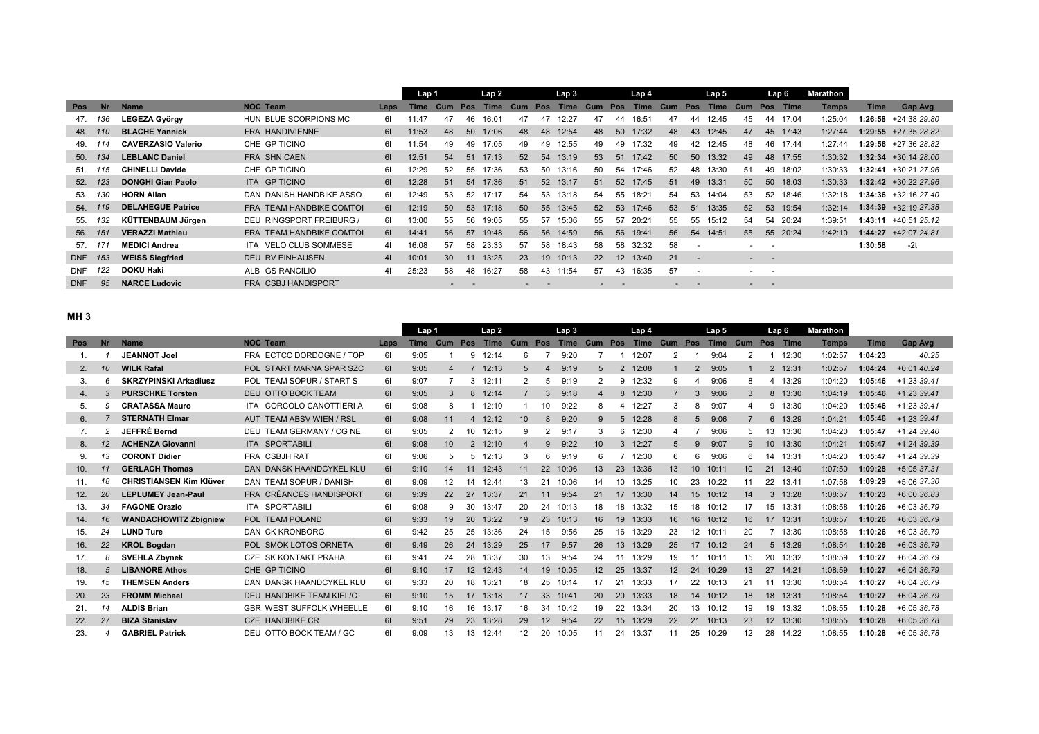|            |           |                           |                           |                | Lap 1       |                 |     | Lap 2 |     |            | Lap 3       |     |     | Lap 4    |     |                          | Lap 5       |                  |            | Lap 6 | Marathon |         |                        |
|------------|-----------|---------------------------|---------------------------|----------------|-------------|-----------------|-----|-------|-----|------------|-------------|-----|-----|----------|-----|--------------------------|-------------|------------------|------------|-------|----------|---------|------------------------|
| <b>Pos</b> | <b>Nr</b> | <b>Name</b>               | <b>NOC Team</b>           | Laps           | <b>Time</b> | Cum             | Pos | Time  | Cum | <b>Pos</b> | <b>Time</b> | Cum | Pos | Time     | Cum | Pos                      | <b>Time</b> | Cum              | <b>Pos</b> | Time  | Temps    | Time    | Gap Avg                |
| 47.        | 136       | <b>LEGEZA György</b>      | HUN BLUE SCORPIONS MC     | 61             | 11:47       | 47              | 46  | 16:01 | 47  | 47         | 12:27       | 47  | 44  | 16:51    | 47  | 44                       | 12:45       | 45               | 44         | 17:04 | 1:25:04  |         | $1:26:58$ +24:38 29.80 |
| 48.        | 110       | <b>BLACHE Yannick</b>     | FRA HANDIVIENNE           | 61             | 11:53       | 48              | 50  | 17:06 | 48  | 48         | 12:54       | 48  | 50  | 17:32    | 48  | 43                       | 12:45       | 47               | 45         | 17:43 | 1:27:44  |         | $1:29:55$ +27:35 28.82 |
| 49.        | 14        | <b>CAVERZASIO Valerio</b> | CHE GP TICINO             | 61             | 11:54       | 49              | 49  | 17:05 | 49  | 49         | 12:55       | 49  | 49  | 17:32    | 49  | 42                       | 12:45       | 48               | 46         | 17:44 | 1:27:44  |         | $1:29:56$ +27:36 28.82 |
| 50.        | 134       | <b>LEBLANC Daniel</b>     | <b>FRA SHN CAEN</b>       | 61             | 12:51       | 54              | 51  | 17:13 | 52  | 54         | 13:19       | 53  | 51  | 17:42    | 50  | 50                       | 13:32       | 49               | 48         | 17:55 | 1:30:32  |         | $1:32:34$ +30:14 28.00 |
| 51.        | 15        | <b>CHINELLI Davide</b>    | CHE GP TICINO             | 61             | 12:29       | 52              | 55  | 17:36 | 53  | 50         | 13:16       | 50  | 54  | 17:46    | 52  | 48                       | 13:30       | 51               | 49         | 18:02 | 1:30:33  | 1:32:41 | +30:21 27.96           |
| 52.        | 123       | <b>DONGHI Gian Paolo</b>  | ITA GP TICINO             | 61             | 12:28       | 51              | 54  | 17:36 | 51  | 52         | 13:17       | 51  | 52  | 17:45    | 51  | 49                       | 13:31       | 50               | 50         | 18:03 | 1:30:33  |         | $1:32:42$ +30:22 27.96 |
| 53.        | 130       | <b>HORN Allan</b>         | DAN DANISH HANDBIKE ASSO  | 61             | 12:49       | 53              | 52  | 17:17 | 54  | 53         | 13:18       | 54  | 55  | 18:21    | 54  | 53                       | 14:04       | 53               | 52         | 18:46 | 1:32:18  |         | 1:34:36 +32:16 27.40   |
| 54.        | 119       | <b>DELAHEGUE Patrice</b>  | FRA TEAM HANDBIKE COMTOI  | 61             | 12:19       | 50 <sup>°</sup> | 53  | 17:18 | 50  | 55         | 13:45       | 52  | 53  | 17:46    | 53  | 51                       | 13:35       | 52               | 53         | 19:54 | 1:32:14  |         | $1:34:39$ +32:19 27.38 |
| 55.        | 132       | KÜTTENBAUM Jürgen         | DEU RINGSPORT FREIBURG /  | 61             | 13:00       | 55              | 56  | 19:05 | 55  | 57         | 15:06       | 55  | 57  | 20:21    | 55  | 55                       | 15:12       | 54               | 54         | 20:24 | 1:39:51  |         | $1:43:11 + 40:5125.12$ |
| 56.        | -151      | <b>VERAZZI Mathieu</b>    | FRA TEAM HANDBIKE COMTOI  | 61             | 14:41       | 56              | 57  | 19:48 | 56  | 56         | 14:59       | 56  | 56  | 19:41    | 56  |                          | 54 14:51    | 55               | 55         | 20:24 | 1:42:10  |         | $1:44:27$ +42:07 24.81 |
| 57.        |           | <b>MEDICI Andrea</b>      | VELO CLUB SOMMESE<br>ITA. | 41             | 16:08       | 57              | 58  | 23:33 | 57  | 58         | 18:43       | 58  | 58  | 32:32    | 58  | $\overline{\phantom{a}}$ |             |                  |            |       |          | 1:30:58 | $-2t$                  |
| <b>DNF</b> | 153       | <b>WEISS Siegfried</b>    | <b>DEU RV EINHAUSEN</b>   | 4 <sup>1</sup> | 10:01       | 30              | 11  | 13:25 | 23  | 19         | 10:13       | 22  |     | 12 13:40 | 21  | $\overline{\phantom{a}}$ |             | $\sim$ 100 $\mu$ | $\sim$     |       |          |         |                        |
| <b>DNF</b> |           | <b>DOKU Haki</b>          | ALB GS RANCILIO           | 41             | 25:23       | 58              | 48  | 16:27 | 58  | 43         | 11:54       | 57  | 43  | 16:35    | 57  | $\overline{\phantom{a}}$ |             |                  | $\sim$     |       |          |         |                        |
| <b>DNF</b> | 95        | <b>NARCE Ludovic</b>      | FRA CSBJ HANDISPORT       |                |             |                 |     |       |     |            |             |     |     |          |     |                          |             |                  |            |       |          |         |                        |

## **MH 3**

|            |           |                                |                                 |      | Lap 1 |     |                | Lap <sub>2</sub> |                 |                       | Lap3         |                 |                  | Lap <sub>4</sub> |              |               | Lap 5 |         |                 | Lap <sub>6</sub> | <b>Marathon</b> |             |                |
|------------|-----------|--------------------------------|---------------------------------|------|-------|-----|----------------|------------------|-----------------|-----------------------|--------------|-----------------|------------------|------------------|--------------|---------------|-------|---------|-----------------|------------------|-----------------|-------------|----------------|
| <b>Pos</b> | <b>Nr</b> | <b>Name</b>                    | <b>NOC Team</b>                 | Laps | Time  | Cum | Pos            | <b>Time</b>      | Cum Pos         |                       | Time Cum Pos |                 |                  |                  | Time Cum Pos |               | Time  | Cum Pos |                 | Time             | <b>Temps</b>    | <b>Time</b> | <b>Gap Avg</b> |
| $1_{-}$    |           | <b>JEANNOT Joel</b>            | FRA ECTCC DORDOGNE / TOP        | 61   | 9:05  |     | 9              | 12:14            | 6               |                       | 9:20         |                 |                  | 12:07            | 2            |               | 9:04  | 2       |                 | 12:30            | 1:02:57         | 1:04:23     | 40.25          |
| 2.         | 10        | <b>WILK Rafal</b>              | POL START MARNA SPAR SZC        | 61   | 9:05  | 4   |                | 12:13            |                 | $\boldsymbol{\Delta}$ | 9:19         | 5               | $\overline{2}$   | 12:08            |              | $\mathcal{P}$ | 9:05  |         | $\overline{2}$  | 12:31            | 1:02:57         | 1:04:24     | $+0.0140.24$   |
| 3.         | 6         | <b>SKRZYPINSKI Arkadiusz</b>   | POL TEAM SOPUR / START S        | 61   | 9:07  |     | 3              | 12:11            |                 | 5                     | 9:19         | 2               |                  | 9 12:32          | 9            |               | 9:06  |         |                 | 13:29            | 1:04:20         | 1:05:46     | $+1:2339.41$   |
| 4.         |           | <b>PURSCHKE Torsten</b>        | DEU OTTO BOCK TEAM              | 61   | 9:05  | 3   | 8              | 12:14            |                 | 3                     | 9:18         | 4               |                  | 8 12:30          | 7            | $\mathcal{B}$ | 9:06  |         | 8               | 13:30            | 1:04:19         | 1:05:46     | $+1:2339.41$   |
| 5.         | 9         | <b>CRATASSA Mauro</b>          | ITA CORCOLO CANOTTIERI A        | 61   | 9:08  | 8   |                | 12:10            |                 | 10                    | 9:22         | 8               | 4                | 12:27            | 3            |               | 9:07  |         | 9               | 13:30            | 1:04:20         | 1:05:46     | $+1.23339.41$  |
| 6.         |           | <b>STERNATH Elmar</b>          | AUT TEAM ABSV WIEN / RSL        | 61   | 9:08  | 11  | 4              | 12:12            | 10 <sup>1</sup> | 8                     | 9:20         | 9               |                  | 5 12:28          | 8            | 5             | 9:06  |         | 6               | 13:29            | 1:04:21         | 1:05:46     | $+1:2339.41$   |
| 7.         |           | <b>JEFFRÉ Bernd</b>            | DEU TEAM GERMANY / CG NE        | 61   | 9:05  | 2   | 10             | 12:15            | 9               | 2                     | 9:17         | 3               |                  | 6 12:30          | 4            |               | 9:06  |         | 13              | 13:30            | 1:04:20         | 1:05:47     | +1:24 39.40    |
| 8.         |           | <b>ACHENZA Giovanni</b>        | <b>ITA SPORTABILI</b>           | 61   | 9:08  | 10  | $\overline{2}$ | 12:10            |                 | $\mathbf{Q}$          | 9:22         | 10              |                  | 3 12:27          | 5            |               | 9:07  | 9       | 10 <sup>°</sup> | 13:30            | 1:04:21         | 1:05:47     | +1:24 39.39    |
| 9.         | 13        | <b>CORONT Didier</b>           | FRA CSBJH RAT                   | 61   | 9:06  | 5   | 5.             | 12:13            |                 | 6                     | 9:19         | 6               |                  | 12:30            | 6            |               | 9:06  |         | 14              | 13:31            | 1:04:20         | 1:05:47     | +1:24 39.39    |
| 10.        | 11        | <b>GERLACH Thomas</b>          | DAN DANSK HAANDCYKEL KLU        | 61   | 9:10  | 14  | 11             | 12:43            | 11              | 22                    | 10:06        | 13              | 23               | 13:36            | 13           | 10            | 10:11 | 10      | 21              | 13:40            | 1:07:50         | 1:09:28     | +5:05 37.31    |
| 11.        | 18        | <b>CHRISTIANSEN Kim Klüver</b> | DAN TEAM SOPUR / DANISH         | 61   | 9:09  | 12  | 14             | 12:44            | 13              |                       | 10:06        | 14              | 10               | 13:25            | 10           | 23            | 10:22 | 11      | 22              | 13:41            | 1:07:58         | 1:09:29     | +5:06 37.30    |
| 12.        | 20        | <b>LEPLUMEY Jean-Paul</b>      | FRA CRÉANCES HANDISPORT         | 61   | 9:39  | 22  | 27             | 13:37            | 21              | 11                    | 9:54         | 21              | 17               | 13:30            | 14           | 15            | 10:12 | 14      | 3               | 13:28            | 1:08:57         | 1:10:23     | +6:00 36.83    |
| 13.        | 34        | <b>FAGONE Orazio</b>           | <b>ITA SPORTABILI</b>           | 61   | 9:08  | 9   | 30             | 13:47            | 20              | 24                    | 10:13        | 18              | 18               | 13:32            | 15           | 18            | 10:12 | 17      | 15              | 13:31            | 1:08:58         | 1:10:26     | $+6:03.36.79$  |
| 14.        | 16        | <b>WANDACHOWITZ Zbigniew</b>   | POL TEAM POLAND                 | 61   | 9:33  | 19  | 20             | 13:22            | 19              | 23                    | 10:13        | 16              | 19               | 13:33            | 16           | 16            | 10:12 | 16      | 17              | 13:31            | 1:08:57         | 1:10:26     | +6:03 36.79    |
| 15.        | 24        | <b>LUND Ture</b>               | DAN CK KRONBORG                 | 61   | 9:42  | 25  | 25             | 13:36            | 24              | 15                    | 9:56         | 25              | 16               | 13:29            | 23           | 12            | 10:11 | 20      |                 | 13:30            | 1:08:58         | 1:10:26     | $+6:03.36.79$  |
| 16.        | 22        | <b>KROL Bogdan</b>             | POL SMOK LOTOS ORNETA           | 61   | 9:49  | 26  | 24             | 13:29            | 25              | 17                    | 9:57         | 26              | 13               | 13:29            | 25           | 17            | 10:12 | 24      |                 | 5 13:29          | 1:08:54         | 1:10:26     | +6:03 36.79    |
| 17.        | 8         | <b>SVEHLA Zbynek</b>           | CZE SK KONTAKT PRAHA            | 61   | 9:4'  | 24  | 28             | 13:37            | 30              | 13                    | 9:54         | 24              | 11               | 13:29            | 19           | 11            | 10:11 | 15      | 20              | 13:32            | 1:08:59         | 1:10:27     | +6:04 36.79    |
| 18.        | 5         | <b>LIBANORE Athos</b>          | CHE GP TICINO                   | 61   | 9:10  | 17  | 12             | 12:43            | 14              | 19                    | 10:05        | 12 <sup>2</sup> | 25               | 13:37            | 12           | 24            | 10:29 | 13      | 27              | 14:21            | 1:08:59         | 1:10:27     | +6:04 36.79    |
| 19.        | 15        | <b>THEMSEN Anders</b>          | DAN DANSK HAANDCYKEL KLU        | 61   | 9:33  | 20  | 18             | 13:21            | 18              | 25                    | 10:14        | 17              | 21               | 13:33            | 17           | 22            | 10:13 | 21      | 11              | 13:30            | 1:08:54         | 1:10:27     | +6:04 36.79    |
| 20.        | 23        | <b>FROMM Michael</b>           | DEU HANDBIKE TEAM KIEL/C        | 61   | 9:10  | 15  | 17             | 13:18            | 17              | 33                    | 10:41        | 20              | 20               | 13:33            | 18           | 14            | 10:12 | 18      | 18              | 13:31            | 1:08:54         | 1:10:27     | +6:04 36.79    |
| 21.        | 14        | <b>ALDIS Brian</b>             | <b>GBR WEST SUFFOLK WHEELLE</b> | 61   | 9:10  | 16  | 16             | 13:17            | 16              | 34                    | 10:42        | 19              | 22               | 13:34            | 20           | 13            | 10:12 | 19      | 19              | 13:32            | 1:08:55         | 1:10:28     | +6:05 36.78    |
| 22.        | 27        | <b>BIZA Stanislav</b>          | <b>CZE HANDBIKE CR</b>          | 61   | 9:51  | 29  | 23             | 13:28            | 29              | 12                    | 9:54         | 22              | 15 <sup>15</sup> | 13:29            | 22           | 21            | 10:13 | 23      | 12              | 13:30            | 1:08:55         | 1:10:28     | +6:05 36.78    |
| 23.        |           | <b>GABRIEL Patrick</b>         | DEU OTTO BOCK TEAM / GC         | 61   | 9:09  | 13  | 13             | 12:44            | 12              | 20                    | 10:05        | 11              | 24               | 13:37            | 11           | 25            | 10:29 | 12      | 28              | 14:22            | 1:08:55         | 1:10:28     | +6:05 36.78    |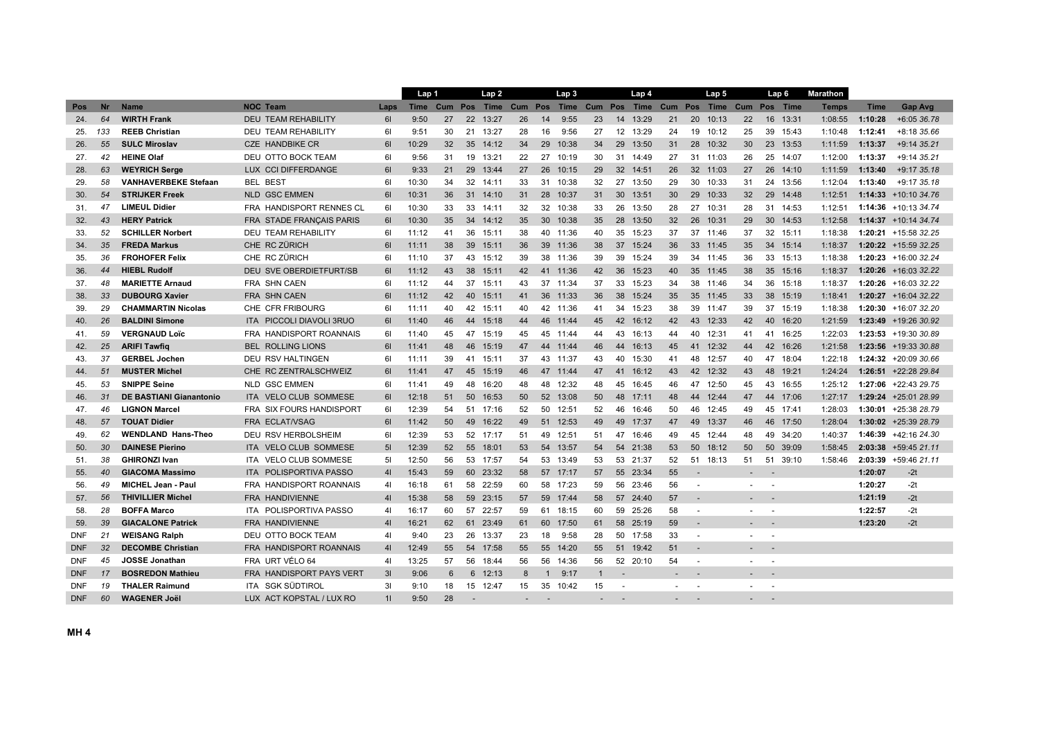|            |                 |                                |                                      |                | Lap 1 |    |                 | Lap2              |         |                 | Lap <sub>3</sub> |              |    | Lap 4                              |    |                          | Lap 5    |    |        | Lap 6    | <b>Marathon</b> |             |                         |
|------------|-----------------|--------------------------------|--------------------------------------|----------------|-------|----|-----------------|-------------------|---------|-----------------|------------------|--------------|----|------------------------------------|----|--------------------------|----------|----|--------|----------|-----------------|-------------|-------------------------|
| Pos        | <b>Nr</b>       | <b>Name</b>                    | <b>NOC Team</b>                      | Laps           |       |    |                 | Time Cum Pos Time | Cum Pos |                 |                  |              |    | Time Cum Pos Time Cum Pos Time Cum |    |                          |          |    |        | Pos Time | <b>Temps</b>    | <b>Time</b> | Gap Avg                 |
| 24.        | 64              | <b>WIRTH Frank</b>             | <b>DEU TEAM REHABILITY</b>           | 61             | 9:50  | 27 | 22              | 13:27             | 26      | 14              | 9:55             | 23           | 14 | 13:29                              | 21 | 20                       | 10:13    | 22 | 16     | 13:31    | 1:08:55         | 1:10:28     | +6:05 36.78             |
| 25.        | 133             | <b>REEB Christian</b>          | <b>DEU TEAM REHABILITY</b>           | 61             | 9:51  | 30 |                 | 21 13:27          | 28      | 16              | 9:56             | 27           |    | 12 13:29                           | 24 |                          | 19 10:12 | 25 | 39     | 15:43    | 1:10:48         | 1:12:41     | +8:18 35.66             |
| 26.        | 55              | <b>SULC Miroslav</b>           | CZE HANDBIKE CR                      | 61             | 10:29 | 32 | 35 <sup>5</sup> | 14:12             | 34      | 29              | 10:38            | 34           | 29 | 13:50                              | 31 | 28                       | 10:32    | 30 | 23     | 13:53    | 1:11:59         | 1:13:37     | +9:14 35.21             |
| 27.        | 42              | <b>HEINE Olaf</b>              | DEU OTTO BOCK TEAM                   | 61             | 9:56  | 31 | 19              | 13:21             | 22      | 27              | 10:19            | 30           |    | 31 14:49                           | 27 | 31                       | 11:03    | 26 | 25     | 14:07    | 1:12:00         | 1:13:37     | +9:14 35.21             |
| 28.        | 63              | <b>WEYRICH Serge</b>           | <b>CCI DIFFERDANGE</b><br><b>LUX</b> | 61             | 9:33  | 21 | 29              | 13:44             | 27      | 26              | 10:15            | 29           | 32 | 14:51                              | 26 | 32 <sup>2</sup>          | 11:03    | 27 | 26     | 14:10    | 1:11:59         | 1.13.40     | +9:17 35.18             |
| 29.        | 58              | <b>VANHAVERBEKE Stefaan</b>    | <b>BEL BEST</b>                      | 61             | 10:30 | 34 | 32              | 14:11             | 33      | 31              | 10:38            | 32           |    | 27 13:50                           | 29 | 30                       | 10:33    | 31 | 24     | 13:56    | 1:12:04         | 1:13:40     | +9:17 35.18             |
| 30.        | 54              | <b>STRIJKER Freek</b>          | <b>NLD GSC EMMEN</b>                 | 61             | 10:31 | 36 | 31              | 14:10             | 31      | 28              | 10:37            | 31           |    | 30 13:51                           | 30 | 29                       | 10:33    | 32 | 29     | 14:48    | 1:12:51         |             | $1:14:33 + 10:1034.76$  |
| 31.        | 47              | <b>LIMEUL Didier</b>           | FRA HANDISPORT RENNES CL             | 61             | 10:30 | 33 | 33              | 14:11             | 32      | 32              | 10:38            | 33           | 26 | 13:50                              | 28 |                          | 27 10:31 | 28 | 31     | 14:53    | 1:12:51         |             | 1:14:36 +10:13 34.74    |
| 32.        | 43              | <b>HERY Patrick</b>            | FRA STADE FRANÇAIS PARIS             | 61             | 10:30 | 35 | 34              | 14:12             | 35      | 30 <sup>°</sup> | 10:38            | 35           | 28 | 13:50                              | 32 | 26                       | 10:31    | 29 | 30     | 14:53    | 1:12:58         |             | $1:14:37 + 10:14$ 34.74 |
| 33.        | 52              | <b>SCHILLER Norbert</b>        | <b>DEU TEAM REHABILITY</b>           | 61             | 11:12 | 41 | 36              | 15:11             | 38      | 40              | 11:36            | 40           | 35 | 15:23                              | 37 |                          | 37 11:46 | 37 | 32     | 15:11    | 1:18:38         |             | 1:20:21 +15:58 32.25    |
| 34.        | 35              | <b>FREDA Markus</b>            | CHE RC ZÜRICH                        | 61             | 11:11 | 38 | 39              | 15:11             | 36      |                 | 39 11:36         | 38           | 37 | 15:24                              | 36 | 33                       | 11:45    | 35 | 34     | 15:14    | 1:18:37         |             | $1:20:22$ +15:59 32.25  |
| 35.        | 36              | <b>FROHOFER Felix</b>          | CHE RC ZÜRICH                        | 61             | 11:10 | 37 | 43              | 15:12             | 39      | 38              | 11:36            | 39           | 39 | 15:24                              | 39 |                          | 34 11:45 | 36 | 33     | 15:13    | 1:18:38         |             | $1:20:23$ +16:00 32.24  |
| 36.        | 44              | <b>HIEBL Rudolf</b>            | <b>DEU SVE OBERDIETFURT/SB</b>       | 61             | 11:12 | 43 | 38              | 15:11             | 42      | 41              | 11:36            | 42           | 36 | 15:23                              | 40 | 35 <sup>5</sup>          | 11:45    | 38 | 35     | 15:16    | 1:18:37         |             | $1:20:26$ +16:03 32.22  |
| 37.        | 48              | <b>MARIETTE Arnaud</b>         | <b>FRA SHN CAEN</b>                  | 61             | 11:12 | 44 | 37              | 15:11             | 43      |                 | 37 11:34         | 37           | 33 | 15:23                              | 34 |                          | 38 11:46 | 34 | 36     | 15:18    | 1:18:37         |             | $1:20:26$ +16:03 32.22  |
| 38.        | 33              | <b>DUBOURG Xavier</b>          | <b>FRA SHN CAEN</b>                  | 61             | 11:12 | 42 | 40              | 15:11             | 41      | 36 <sup>°</sup> | 11:33            | 36           | 38 | 15:24                              | 35 | 35 <sup>5</sup>          | 11:45    | 33 | 38     | 15:19    | 1:18:41         |             | $1:20:27$ +16:04 32.22  |
| 39.        | 29              | <b>CHAMMARTIN Nicolas</b>      | CHE CFR FRIBOURG                     | 61             | 11:11 | 40 | 42              | 15:11             | 40      |                 | 42 11:36         | 41           | 34 | 15:23                              | 38 | 39                       | 11:47    | 39 | 37     | 15:19    | 1:18:38         |             | $1:20:30$ +16:07 32.20  |
| 40.        | 26              | <b>BALDINI Simone</b>          | <b>ITA PICCOLI DIAVOLI 3RUO</b>      | 61             | 11:40 | 46 | 44              | 15:18             | 44      | 46              | 11:44            | 45           | 42 | 16:12                              | 42 | 43                       | 12:33    | 42 | 40     | 16:20    | 1:21:59         |             | 1:23:49 +19:26 30.92    |
| 41.        | 59              | <b>VERGNAUD Loïc</b>           | FRA HANDISPORT ROANNAIS              | 61             | 11:40 | 45 | 47              | 15:19             | 45      | 45              | 11:44            | 44           | 43 | 16:13                              | 44 | 40                       | 12:31    | 41 | 41     | 16:25    | 1:22:03         |             | $1:23:53$ +19:30 30.89  |
| 42.        | 25              | <b>ARIFI Tawfiq</b>            | <b>BEL ROLLING LIONS</b>             | 61             | 11:41 | 48 | 46              | 15:19             | 47      |                 | 44 11:44         | 46           | 44 | 16:13                              | 45 |                          | 41 12:32 | 44 | 42     | 16:26    | 1:21:58         |             | 1:23:56 +19:33 30.88    |
| 43.        | 37              | <b>GERBEL Jochen</b>           | <b>DEU RSV HALTINGEN</b>             | 61             | 11:11 | 39 |                 | 41 15:11          | 37      |                 | 43 11:37         | 43           | 40 | 15:30                              | 41 | 48                       | 12:57    | 40 | 47     | 18:04    | 1:22:18         |             | $1:24:32 + 20:0930.66$  |
| 44.        | 51              | <b>MUSTER Michel</b>           | CHE RC ZENTRALSCHWEIZ                | 61             | 11:41 | 47 | 45              | 15:19             | 46      |                 | 47 11:44         | 47           | 41 | 16:12                              | 43 |                          | 42 12:32 | 43 | 48     | 19:21    | 1:24:24         |             | $1:26:51$ +22:28 29.84  |
| 45.        | 53              | <b>SNIPPE Seine</b>            | <b>NLD GSC EMMEN</b>                 | 61             | 11:41 | 49 | 48              | 16:20             | 48      | 48              | 12:32            | 48           | 45 | 16:45                              | 46 | 47                       | 12:50    | 45 | 43     | 16:55    | 1:25:12         |             | 1:27:06 +22:43 29.75    |
| 46.        | 31              | <b>DE BASTIANI Gianantonio</b> | ITA VELO CLUB SOMMESE                | 61             | 12:18 | 51 | 50              | 16:53             | 50      | 52              | 13:08            | 50           | 48 | 17:11                              | 48 | 44                       | 12:44    | 47 | 44     | 17:06    | 1:27:17         |             | 1:29:24 +25:01 28.99    |
| 47.        | 46              | <b>LIGNON Marcel</b>           | FRA SIX FOURS HANDISPORT             | 61             | 12:39 | 54 | 51              | 17:16             | 52      | 50              | 12:51            | 52           | 46 | 16:46                              | 50 | 46                       | 12:45    | 49 | 45     | 17:41    | 1:28:03         |             | $1:30:01$ +25:38 28.79  |
| 48.        | 57              | <b>TOUAT Didier</b>            | <b>FRA ECLAT/VSAG</b>                | 61             | 11:42 | 50 | 49              | 16:22             | 49      | 51              | 12:53            | 49           | 49 | 17:37                              | 47 | 49                       | 13:37    | 46 | 46     | 17:50    | 1:28:04         |             | $1:30:02$ +25:39 28.79  |
| 49.        | 62              | <b>WENDLAND Hans-Theo</b>      | DEU RSV HERBOLSHEIM                  | 61             | 12:39 | 53 | 52              | 17:17             | 51      | 49              | 12:51            | -51          | 47 | 16:46                              | 49 | 45                       | 12:44    | 48 | 49     | 34:20    | 1:40:37         |             | 1:46:39 +42:16 24.30    |
| 50.        | 30              | <b>DAINESE Pierino</b>         | ITA VELO CLUB SOMMESE                | 5 <sub>1</sub> | 12:39 | 52 | 55              | 18:01             | 53      | 54              | 13:57            | 54           |    | 54 21:38                           | 53 | 50                       | 18:12    | 50 | 50     | 39:09    | 1:58:45         |             | 2:03:38 +59:45 21.11    |
| 51.        | 38              | <b>GHIRONZI Ivan</b>           | <b>VELO CLUB SOMMESE</b><br>ITA.     | 51             | 12:50 | 56 | 53              | 17:57             | 54      | 53              | 13:49            | 53           |    | 53 21:37                           | 52 | 51                       | 18:13    | 51 | 51     | 39:10    | 1:58:46         | 2:03:39     | +59:46 21.11            |
| 55.        | 40              | <b>GIACOMA Massimo</b>         | POLISPORTIVA PASSO<br><b>ITA</b>     | 41             | 15:43 | 59 | 60              | 23:32             | 58      | 57              | 17:17            | 57           | 55 | 23:34                              | 55 |                          |          |    |        |          |                 | 1:20:07     | $-2t$                   |
| 56.        | 49              | <b>MICHEL Jean - Paul</b>      | FRA HANDISPORT ROANNAIS              | 41             | 16:18 | 61 | 58              | 22:59             | 60      | 58              | 17:23            | 59           | 56 | 23:46                              | 56 | $\sim$                   |          |    |        |          |                 | 1:20:27     | $-2t$                   |
| 57.        | 56              | <b>THIVILLIER Michel</b>       | <b>FRA HANDIVIENNE</b>               | 4 <sup>1</sup> | 15:38 | 58 |                 | 59 23:15          | 57      |                 | 59 17:44         | 58           |    | 57 24:40                           | 57 |                          |          |    |        |          |                 | 1:21:19     | $-2t$                   |
| 58.        | 28              | <b>BOFFA Marco</b>             | ITA POLISPORTIVA PASSO               | 41             | 16:17 | 60 | 57              | 22:57             | 59      |                 | 61 18:15         | 60           |    | 59 25:26                           | 58 | $\overline{\phantom{a}}$ |          |    | $\sim$ |          |                 | 1:22:57     | $-2t$                   |
| 59.        | 39              | <b>GIACALONE Patrick</b>       | <b>FRA HANDIVIENNE</b>               | 41             | 16:21 | 62 | 61              | 23:49             | 61      | 60              | 17:50            | 61           |    | 58 25:19                           | 59 | $\overline{\phantom{a}}$ |          |    |        |          |                 | 1:23:20     | $-2t$                   |
| <b>DNF</b> | 21              | <b>WEISANG Ralph</b>           | DEU OTTO BOCK TEAM                   | 4 <sub>l</sub> | 9:40  | 23 | 26              | 13:37             | 23      | 18              | 9:58             | 28           |    | 50 17:58                           | 33 | $\sim$                   |          |    | $\sim$ |          |                 |             |                         |
| <b>DNF</b> | 32 <sup>2</sup> | <b>DECOMBE Christian</b>       | FRA HANDISPORT ROANNAIS              | 41             | 12:49 | 55 | 54              | 17:58             | 55      | 55              | 14:20            | 55           | 51 | 19:42                              | 51 |                          |          |    |        |          |                 |             |                         |
| <b>DNF</b> | 45              | JOSSE Jonathan                 | FRA URT VÉLO 64                      | 4 <sub>l</sub> | 13:25 | 57 | 56              | 18:44             | 56      | 56              | 14:36            | 56           |    | 52 20:10                           | 54 | $\overline{\phantom{a}}$ |          |    |        |          |                 |             |                         |
| <b>DNF</b> | 17              | <b>BOSREDON Mathieu</b>        | FRA HANDISPORT PAYS VERT             | 3I             | 9:06  | 6  |                 | 6 12:13           | 8       | 1               | 9:17             | $\mathbf{1}$ |    |                                    |    |                          |          |    |        |          |                 |             |                         |
| <b>DNF</b> | 19              | <b>THALER Raimund</b>          | ITA SGK SÜDTIROL                     | 31             | 9:10  | 18 |                 | 15 12:47          | 15      | 35              | 10:42            | 15           |    |                                    |    | $\overline{\phantom{a}}$ |          |    | $\sim$ |          |                 |             |                         |
| <b>DNF</b> | 60              | <b>WAGENER Joël</b>            | LUX ACT KOPSTAL / LUX RO             | 11             | 9:50  | 28 |                 |                   |         |                 |                  |              |    |                                    |    |                          |          |    |        |          |                 |             |                         |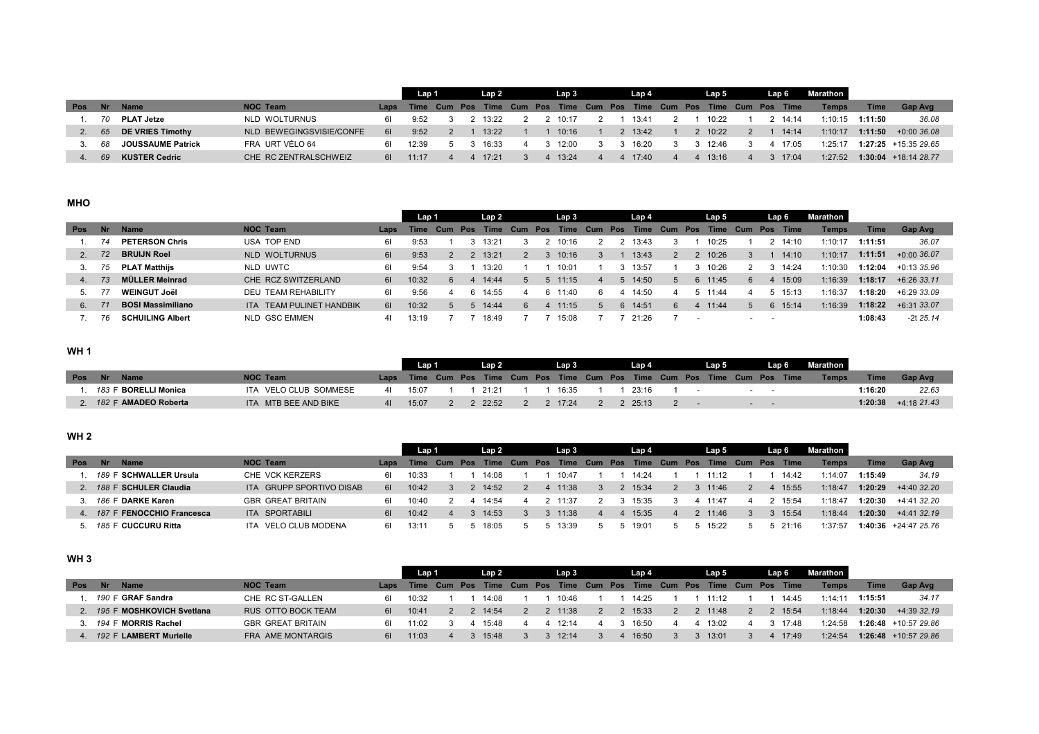|            |      |                          |                          |    | Lap 1 |  | Lap <sub>2</sub> |  | Lap 3 |  | Lap 4   |  | Lap 5                                                                      |  | Lap 6 | Marathon     |             |                         |
|------------|------|--------------------------|--------------------------|----|-------|--|------------------|--|-------|--|---------|--|----------------------------------------------------------------------------|--|-------|--------------|-------------|-------------------------|
| <b>Pos</b> | .Nr/ | <b>Name</b>              | <b>NOC Team</b>          |    |       |  |                  |  |       |  |         |  | Laps Time Cum Pos Time Cum Pos Time Cum Pos Time Cum Pos Time Cum Pos Time |  |       | <b>Temps</b> | <b>Time</b> | Gap Avg                 |
|            | 70   | <b>PLAT Jetze</b>        | NLD WOLTURNUS            | 61 | 9:52  |  | 13:22            |  | 10:17 |  | 13:41   |  | 10:22                                                                      |  | 14:14 | 1.10.15      | 1:11:50     | 36.08                   |
|            | 65   | DE VRIES Timothy         | NLD BEWEGINGSVISIE/CONFE | 61 | 9:52  |  | 13:22            |  | 10:16 |  | 2 13:42 |  | 10:22                                                                      |  | 14:14 | 1:10:17      | 1:11:50     | $+0.0036.08$            |
|            | 68   | <b>JOUSSAUME Patrick</b> | FRA URT VÉLO 64          | 61 | 12:39 |  | 16:33            |  | 12.00 |  | 16:20   |  | 12.46                                                                      |  | 17.05 | 1:25:17      |             | $1:27:25$ +15:35 29.65  |
|            | 69   | <b>KUSTER Cedric</b>     | CHE RC ZENTRALSCHWEIZ    | 61 | 11:17 |  | 17.21            |  | 13:24 |  | 4 17:40 |  | $4 \quad 13.16$                                                            |  | 17:04 | 1:27:52      |             | $1:30:04$ + 18:14 28.77 |

## **MHO**

|            |           |                          |                          |      | Lap 1       |     |            | Lap 2       |     |            | Lap 3           |         | Lap 4   |                |     | Lap 5 |     |     | Lap 6       | Marathon |             |               |
|------------|-----------|--------------------------|--------------------------|------|-------------|-----|------------|-------------|-----|------------|-----------------|---------|---------|----------------|-----|-------|-----|-----|-------------|----------|-------------|---------------|
| <b>Pos</b> | <b>Nr</b> | <b>Name</b>              | <b>NOC Team</b>          | Laps | <b>Time</b> | Cum | <b>Pos</b> | <b>Time</b> | Cum | <b>Pos</b> | Time            | Cum Pos | Time    | Cum            | Pos | Time  | Cum | Pos | <b>Time</b> | Temps    | <b>Time</b> | Gap Avg       |
|            |           | <b>PETERSON Chris</b>    | <b>USA TOP END</b>       | 61   | 9:53        |     |            | 13:21       |     |            | 10:16           |         | 3:43    |                |     | 10:25 |     |     | 14:10       | 1:10:17  | 1:11:51     | 36.07         |
| 2.         | 72        | <b>BRUIJN Roel</b>       | NLD WOLTURNUS            | 61   | 9:53        |     |            | 13:21       |     |            | 10:16           |         | 13:43   |                |     | 10:26 |     |     | 14:10       | 1:10:17  | 1:11:51     | +0:00 36.07   |
|            | 75        | <b>PLAT Matthijs</b>     | NLD UWTC                 | 61   | 9:54        |     |            | 13:20       |     |            | 10:01           |         | 13:57   |                |     | 10:26 |     |     | 14:24       | 1:10:30  | 1:12:04     | +0:13 35.96   |
| 4.         |           | <b>MÜLLER Meinrad</b>    | CHE RCZ SWITZERLAND      | 61   | 10:32       | 6   |            | 14:44       | 5   |            | $5 \quad 11:15$ |         | 5 14:50 | $\overline{5}$ | 6.  | 11:45 | 6.  |     | 15:09       | 1:16:39  | 1:18:17     | $+6:2633.11$  |
|            |           | <b>WEINGUT Joël</b>      | DEU TEAM REHABILITY      | 61   | 9:56        |     |            | 14:55       |     |            | 6 11:40         |         | 14:50   |                |     | 11:44 |     |     | 15:13       | 1:16:37  | 1:18:20     | $+6:29.33.09$ |
| 6.         |           | <b>BOSI Massimiliano</b> | ITA TEAM PULINET HANDBIK | 61   | 10:32       |     |            | 14:44       |     |            | 11:15           |         | 6 14:51 | 6              |     | 11:44 |     |     | 15:14       | 1:16:39  | 1:18:22     | +6:31 33.07   |
|            | 76        | <b>SCHUILING Albert</b>  | NLD GSC EMMEN            | 41   | 13:19       |     |            | 18:49       |     |            | 15:08           |         | 21:26   |                |     |       |     |     |             |          | 1:08:43     | $-2t$ 25.14   |

## **WH 1**

|            |                          |                       |              | Lap 1                                                                      |  | Lap 2   |  | . Lap 3   |  | Lap 4   |  | Lap 5 |  | Lap 6 | Marathon I   |             |                       |
|------------|--------------------------|-----------------------|--------------|----------------------------------------------------------------------------|--|---------|--|-----------|--|---------|--|-------|--|-------|--------------|-------------|-----------------------|
| <b>Pos</b> | <b>Name</b><br><b>Nr</b> | <b>NOC Team</b>       |              | Laps Time Cum Pos Time Cum Pos Time Cum Pos Time Cum Pos Time Cum Pos Time |  |         |  |           |  |         |  |       |  |       | <b>Temps</b> | <b>Time</b> | <b>Gap Ave</b>        |
|            | 183 F BORELLI Monica     | ITA VELO CLUB SOMMESE | 41           | 15.07                                                                      |  | 21:21   |  | 16:35     |  | 23:16   |  |       |  |       |              | 1:16:20     | 22.63                 |
|            | 182 F AMADEO Roberta     | ITA MTB BEE AND BIKE  | $\mathbf{u}$ | 15:07                                                                      |  | 2 22:52 |  | 2 2 17:24 |  | 2 25:13 |  |       |  |       |              |             | $1:20:38$ +4:18 21.43 |

## **WH 2**

|                |                           |                          |      | Lap 1       |          | Lap 2        |  | Lap 3 |              | Lap 4   |                  | Lap 5                                       |  | Lap 6       | <b>Marathon</b> |             |                        |
|----------------|---------------------------|--------------------------|------|-------------|----------|--------------|--|-------|--------------|---------|------------------|---------------------------------------------|--|-------------|-----------------|-------------|------------------------|
| <b>Pos</b>     | Nr.<br><b>Name</b>        | <b>NOC Team</b>          | Laps | <b>Time</b> | Cum Pos  | Time Cum Pos |  |       |              |         |                  | Time Cum Pos Time Cum Pos Time Cum Pos Time |  |             | Temps           | <b>Time</b> | Gap Avg                |
|                | 189 F SCHWALLER Ursula    | CHE VCK KERZERS          | 61   | 10:33       |          | 14:08        |  | 10:47 |              | 14:24   |                  | 11.12                                       |  | 14:42       | 1.14.07         | 1:15:49     | 34.19                  |
|                | 188 F SCHULER Claudia     | ITA GRUPP SPORTIVO DISAB | 61   | 10:42       |          | 14:52        |  | 11:38 | 3            | 2 15:34 |                  | 11:46                                       |  | 15:55       | 1:18:47         | 1:20:29     | +4:40 32.20            |
|                | 186 F DARKE Karen         | <b>GBR GREAT BRITAIN</b> | 61   | 10.40       |          | 14:54        |  | 11:37 |              | 15:35   |                  | 4 11:47                                     |  | 15:54       | 1.18.47         | 1:20:30     | +4:41 32.20            |
| $\overline{4}$ | 187 F FENOCCHIO Francesca | ITA SPORTABILI           | 61   | 10:42       | $\Delta$ | 14:53        |  | 11:38 | $\mathbf{A}$ | 15:35   | $\boldsymbol{A}$ | 2 11:46                                     |  | 15:54       | 1:18:44         | 1:20:30     | +4:41 32.19            |
|                | 185 F CUCCURU Ritta       | ITA VELO CLUB MODENA     | 61   | 13:1.       |          | 18:05        |  | 13:39 |              | 19:01   |                  | 15.22                                       |  | $5 \t21.16$ | 1:37:57         |             | $1:40:36$ +24:47 25.76 |

#### **WH 3**

|            |                           |                          |      | Lap 1 |  | Lap 2 |  | Lap 3 |  | Lap 4   |  | Lap 5                                                                 |  | Lap 6 | Marathon |         |                        |
|------------|---------------------------|--------------------------|------|-------|--|-------|--|-------|--|---------|--|-----------------------------------------------------------------------|--|-------|----------|---------|------------------------|
| <b>Pos</b> | <b>Name</b><br><b>Nr</b>  | <b>NOC Team</b>          | Laps |       |  |       |  |       |  |         |  | Time Cum Pos Time Cum Pos Time Cum Pos Time Cum Pos Time Cum Pos Time |  |       | Temps    | Time    | <b>Gap Avg</b>         |
|            | 190 F GRAF Sandra         | CHE RC ST-GALLEN         | 61   | 10.32 |  | 14.08 |  | 10:46 |  | 14.25   |  | 11.12                                                                 |  | 14.45 | 1.14.11  | 1:15:51 | 34.17                  |
|            | 195 F MOSHKOVICH Svetlana | RUS OTTO BOCK TEAM       | 61   | 10:41 |  | 14:54 |  | 11:38 |  | 2 15:33 |  | 11:48                                                                 |  | 15:54 | 1:18:44  | 1:20:30 | +4:39 32.19            |
|            | 194 F MORRIS Rachel       | <b>GBR GREAT BRITAIN</b> | 61   | 11.N2 |  | 15.48 |  | 12:14 |  | 16:50   |  | 13:02                                                                 |  | 17:48 | 1:24:58  |         | $1:26:48$ +10:57 29.86 |
|            | 192 F LAMBERT Murielle    | FRA AME MONTARGIS        | 61   | 11:03 |  | 15:48 |  | 12:14 |  | 4 16:50 |  | 13:01                                                                 |  | 17:49 | 1:24:54  |         | $1:26:48$ +10:57 29.86 |